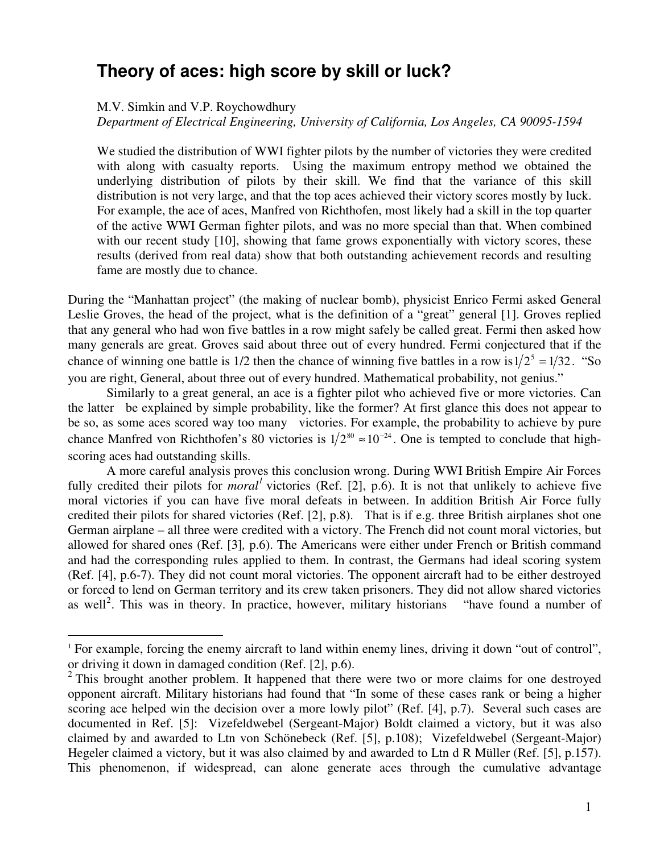## **Theory of aces: high score by skill or luck?**

M.V. Simkin and V.P. Roychowdhury

 $\overline{a}$ 

*Department of Electrical Engineering, University of California, Los Angeles, CA 90095-1594* 

We studied the distribution of WWI fighter pilots by the number of victories they were credited with along with casualty reports. Using the maximum entropy method we obtained the underlying distribution of pilots by their skill. We find that the variance of this skill distribution is not very large, and that the top aces achieved their victory scores mostly by luck. For example, the ace of aces, Manfred von Richthofen, most likely had a skill in the top quarter of the active WWI German fighter pilots, and was no more special than that. When combined with our recent study [10], showing that fame grows exponentially with victory scores, these results (derived from real data) show that both outstanding achievement records and resulting fame are mostly due to chance.

During the "Manhattan project" (the making of nuclear bomb), physicist Enrico Fermi asked General Leslie Groves, the head of the project, what is the definition of a "great" general [1]. Groves replied that any general who had won five battles in a row might safely be called great. Fermi then asked how many generals are great. Groves said about three out of every hundred. Fermi conjectured that if the chance of winning one battle is 1/2 then the chance of winning five battles in a row is  $1/2^5 = 1/32$ . "So you are right, General, about three out of every hundred. Mathematical probability, not genius."

Similarly to a great general, an ace is a fighter pilot who achieved five or more victories. Can the latter be explained by simple probability, like the former? At first glance this does not appear to be so, as some aces scored way too many victories. For example, the probability to achieve by pure chance Manfred von Richthofen's 80 victories is  $1/2^{80} \approx 10^{-24}$ . One is tempted to conclude that highscoring aces had outstanding skills.

A more careful analysis proves this conclusion wrong. During WWI British Empire Air Forces fully credited their pilots for *moral*<sup> $1$ </sup> victories (Ref. [2], p.6). It is not that unlikely to achieve five moral victories if you can have five moral defeats in between. In addition British Air Force fully credited their pilots for shared victories (Ref. [2], p.8). That is if e.g. three British airplanes shot one German airplane – all three were credited with a victory. The French did not count moral victories, but allowed for shared ones (Ref. [3]*,* p.6). The Americans were either under French or British command and had the corresponding rules applied to them. In contrast, the Germans had ideal scoring system (Ref. [4], p.6-7). They did not count moral victories. The opponent aircraft had to be either destroyed or forced to lend on German territory and its crew taken prisoners. They did not allow shared victories as well<sup>2</sup>. This was in theory. In practice, however, military historians "have found a number of

<sup>&</sup>lt;sup>1</sup> For example, forcing the enemy aircraft to land within enemy lines, driving it down "out of control", or driving it down in damaged condition (Ref. [2], p.6).

 $2$  This brought another problem. It happened that there were two or more claims for one destroyed opponent aircraft. Military historians had found that "In some of these cases rank or being a higher scoring ace helped win the decision over a more lowly pilot" (Ref. [4], p.7). Several such cases are documented in Ref. [5]: Vizefeldwebel (Sergeant-Major) Boldt claimed a victory, but it was also claimed by and awarded to Ltn von Schönebeck (Ref. [5], p.108); Vizefeldwebel (Sergeant-Major) Hegeler claimed a victory, but it was also claimed by and awarded to Ltn d R Müller (Ref. [5], p.157). This phenomenon, if widespread, can alone generate aces through the cumulative advantage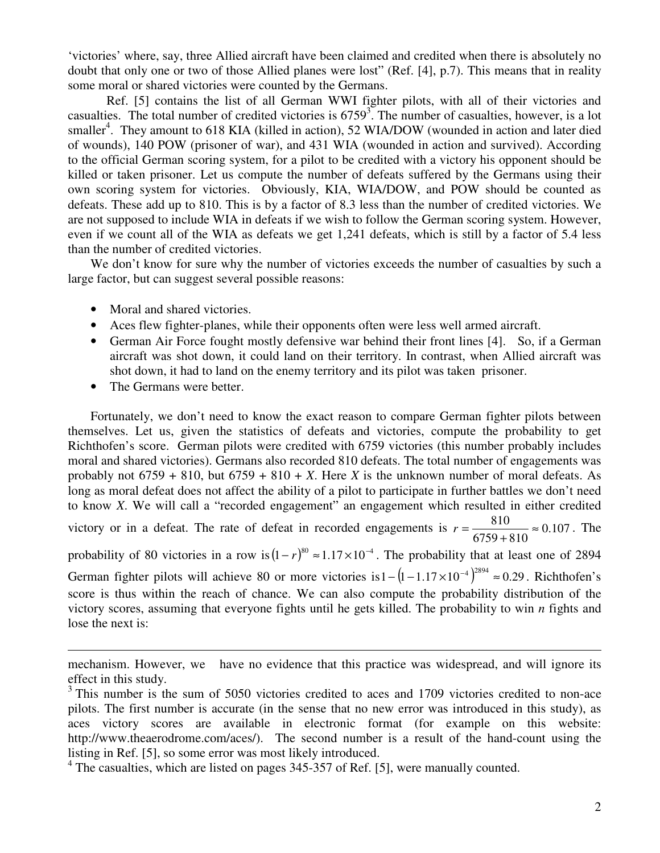'victories' where, say, three Allied aircraft have been claimed and credited when there is absolutely no doubt that only one or two of those Allied planes were lost" (Ref. [4], p.7). This means that in reality some moral or shared victories were counted by the Germans.

Ref. [5] contains the list of all German WWI fighter pilots, with all of their victories and casualties. The total number of credited victories is  $6759<sup>3</sup>$ . The number of casualties, however, is a lot smaller<sup>4</sup>. They amount to 618 KIA (killed in action), 52 WIA/DOW (wounded in action and later died of wounds), 140 POW (prisoner of war), and 431 WIA (wounded in action and survived). According to the official German scoring system, for a pilot to be credited with a victory his opponent should be killed or taken prisoner. Let us compute the number of defeats suffered by the Germans using their own scoring system for victories. Obviously, KIA, WIA/DOW, and POW should be counted as defeats. These add up to 810. This is by a factor of 8.3 less than the number of credited victories. We are not supposed to include WIA in defeats if we wish to follow the German scoring system. However, even if we count all of the WIA as defeats we get 1,241 defeats, which is still by a factor of 5.4 less than the number of credited victories.

We don't know for sure why the number of victories exceeds the number of casualties by such a large factor, but can suggest several possible reasons:

- Moral and shared victories.
- Aces flew fighter-planes, while their opponents often were less well armed aircraft.
- German Air Force fought mostly defensive war behind their front lines [4]. So, if a German aircraft was shot down, it could land on their territory. In contrast, when Allied aircraft was shot down, it had to land on the enemy territory and its pilot was taken prisoner.
- The Germans were better.

 $\overline{a}$ 

Fortunately, we don't need to know the exact reason to compare German fighter pilots between themselves. Let us, given the statistics of defeats and victories, compute the probability to get Richthofen's score. German pilots were credited with 6759 victories (this number probably includes moral and shared victories). Germans also recorded 810 defeats. The total number of engagements was probably not  $6759 + 810$ , but  $6759 + 810 + X$ . Here *X* is the unknown number of moral defeats. As long as moral defeat does not affect the ability of a pilot to participate in further battles we don't need to know *X*. We will call a "recorded engagement" an engagement which resulted in either credited victory or in a defeat. The rate of defeat in recorded engagements is  $r = \frac{0.00}{0.000} \approx 0.107$  $6759 + 810$  $\frac{810}{x} \approx$ +  $r = \frac{610}{6750 - 010} \approx 0.107$ . The probability of 80 victories in a row is  $(1 - r)^{80} \approx 1.17 \times 10^{-4}$ . The probability that at least one of 2894 German fighter pilots will achieve 80 or more victories is  $1 - (1 - 1.17 \times 10^{-4})^{2894} \approx 0.29$ . Richthofen's score is thus within the reach of chance. We can also compute the probability distribution of the victory scores, assuming that everyone fights until he gets killed. The probability to win *n* fights and lose the next is:

mechanism. However, we have no evidence that this practice was widespread, and will ignore its effect in this study.

<sup>&</sup>lt;sup>3</sup> This number is the sum of 5050 victories credited to aces and 1709 victories credited to non-ace pilots. The first number is accurate (in the sense that no new error was introduced in this study), as aces victory scores are available in electronic format (for example on this website: http://www.theaerodrome.com/aces/). The second number is a result of the hand-count using the listing in Ref. [5], so some error was most likely introduced.

<sup>&</sup>lt;sup>4</sup> The casualties, which are listed on pages 345-357 of Ref. [5], were manually counted.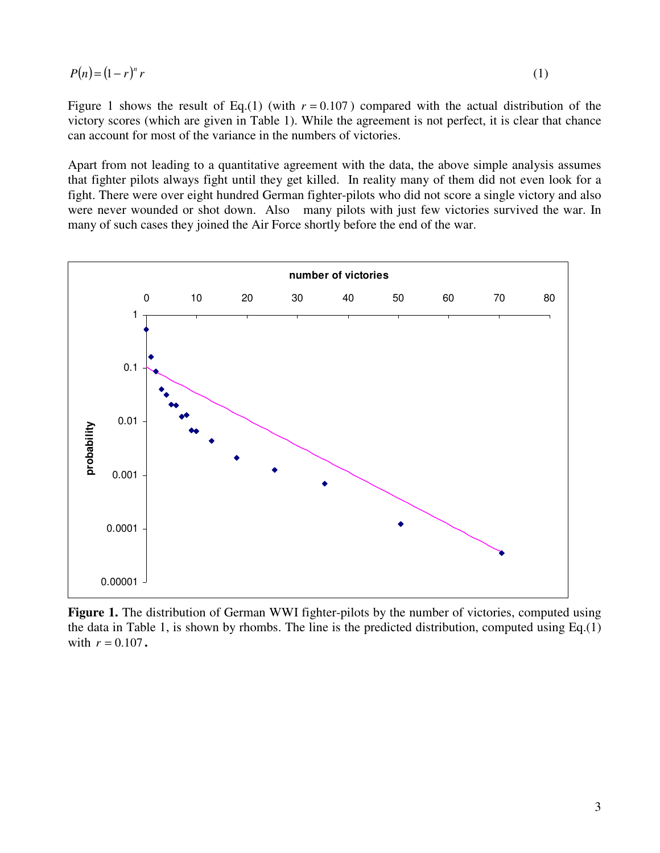$$
P(n) = (1 - r)^n r \tag{1}
$$

Figure 1 shows the result of Eq.(1) (with  $r = 0.107$ ) compared with the actual distribution of the victory scores (which are given in Table 1). While the agreement is not perfect, it is clear that chance can account for most of the variance in the numbers of victories.

Apart from not leading to a quantitative agreement with the data, the above simple analysis assumes that fighter pilots always fight until they get killed. In reality many of them did not even look for a fight. There were over eight hundred German fighter-pilots who did not score a single victory and also were never wounded or shot down. Also many pilots with just few victories survived the war. In many of such cases they joined the Air Force shortly before the end of the war.



Figure 1. The distribution of German WWI fighter-pilots by the number of victories, computed using the data in Table 1, is shown by rhombs. The line is the predicted distribution, computed using Eq.(1) with  $r = 0.107$ .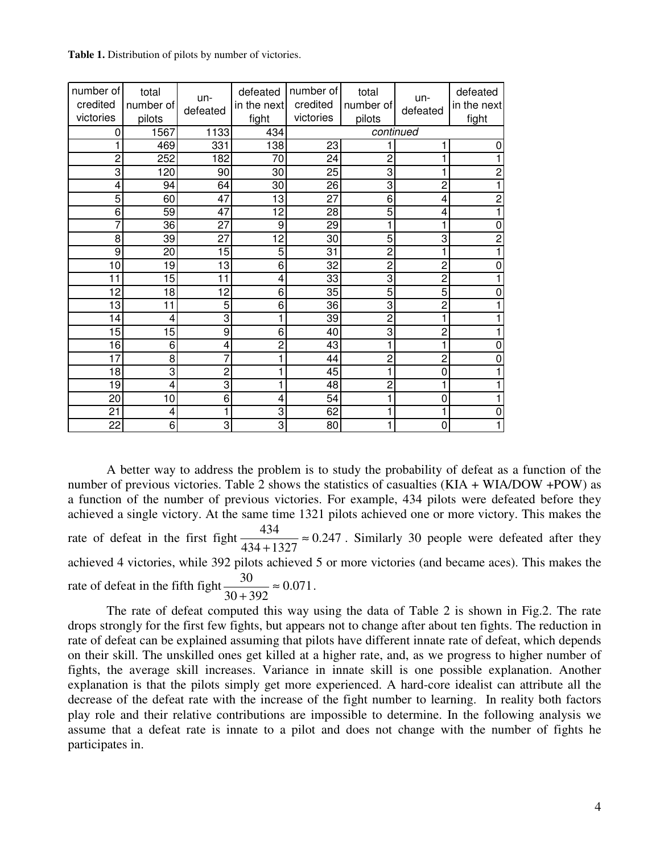**Table 1.** Distribution of pilots by number of victories.

| number of<br>credited | total<br>number of | un-             | defeated<br>in the next | number of<br>credited | total<br>number of | un-            | defeated<br>in the next |
|-----------------------|--------------------|-----------------|-------------------------|-----------------------|--------------------|----------------|-------------------------|
| victories             | pilots             | defeated        | fight                   | victories             | pilots             | defeated       | fight                   |
| 0                     | 1567               | 1133            | 434                     | continued             |                    |                |                         |
| 1                     | 469                | 331             | 138                     | 23                    |                    |                | 0                       |
| $\overline{c}$        | 252                | 182             | 70                      | 24                    | 2                  |                |                         |
| 3                     | 120                | 90              | 30                      | 25                    | 3                  |                | 2                       |
| 4                     | 94                 | 64              | 30                      | 26                    | 3                  | $\overline{c}$ |                         |
| 5                     | 60                 | $\overline{47}$ | $\overline{13}$         | $\overline{27}$       | $\overline{6}$     | 4              | $\overline{2}$          |
| 6                     | 59                 | 47              | 12                      | $\overline{28}$       | 5                  | 4              |                         |
| 7                     | 36                 | 27              | 9                       | 29                    |                    | 1              | 0                       |
| 8                     | 39                 | 27              | 12                      | 30                    | 5                  | 3              | $\overline{2}$          |
| 9                     | 20                 | 15              | 5                       | 31                    | $\overline{2}$     | 1              |                         |
| 10                    | 19                 | 13              | 6                       | 32                    | $\overline{c}$     | $\overline{2}$ |                         |
| 11                    | 15                 | 11              | 4                       | 33                    | 3                  | $\overline{2}$ |                         |
| 12                    | 18                 | 12              | 6                       | 35                    | 5                  | 5              |                         |
| 13                    | 11                 | 5               | $\overline{6}$          | 36                    | 3                  | $\overline{2}$ |                         |
| 14                    | 4                  | 3               | 1                       | 39                    | $\overline{c}$     | 1              |                         |
| 15                    | 15                 | 9               | 6                       | 40                    | 3                  | $\overline{2}$ |                         |
| 16                    | 6                  | 4               | $\overline{c}$          | 43                    |                    |                |                         |
| 17                    | 8                  | 7               | 1                       | 44                    | $\overline{c}$     | $\overline{c}$ | 0                       |
| 18                    | 3                  | $\overline{c}$  | 1                       | 45                    |                    | $\mathbf 0$    |                         |
| 19                    | 4                  | 3               | 1                       | 48                    | 2                  | 1              |                         |
| 20                    | 10                 | 6               | 4                       | 54                    |                    | $\mathbf 0$    |                         |
| 21                    | 4                  |                 | 3                       | 62                    |                    | 1              | 0                       |
| 22                    | 6                  | 3               | $\overline{3}$          | 80                    |                    | 0              |                         |

A better way to address the problem is to study the probability of defeat as a function of the number of previous victories. Table 2 shows the statistics of casualties (KIA + WIA/DOW +POW) as a function of the number of previous victories. For example, 434 pilots were defeated before they achieved a single victory. At the same time 1321 pilots achieved one or more victory. This makes the rate of defeat in the first fight  $\frac{154}{124} \approx 0.247$ 434 1327  $\frac{434}{1225}$  ≈ + . Similarly 30 people were defeated after they achieved 4 victories, while 392 pilots achieved 5 or more victories (and became aces). This makes the rate of defeat in the fifth fight  $\frac{50}{200} \approx 0.071$  $30 + 392$  $\frac{30}{200}$   $\approx$ + .

The rate of defeat computed this way using the data of Table 2 is shown in Fig.2. The rate drops strongly for the first few fights, but appears not to change after about ten fights. The reduction in rate of defeat can be explained assuming that pilots have different innate rate of defeat, which depends on their skill. The unskilled ones get killed at a higher rate, and, as we progress to higher number of fights, the average skill increases. Variance in innate skill is one possible explanation. Another explanation is that the pilots simply get more experienced. A hard-core idealist can attribute all the decrease of the defeat rate with the increase of the fight number to learning. In reality both factors play role and their relative contributions are impossible to determine. In the following analysis we assume that a defeat rate is innate to a pilot and does not change with the number of fights he participates in.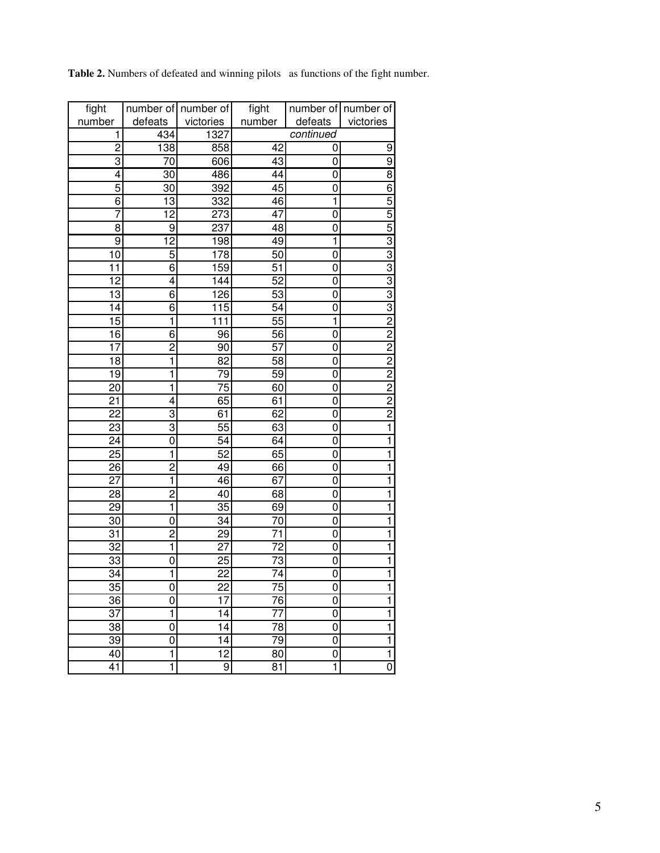|  | Table 2. Numbers of defeated and winning pilots as functions of the fight number. |  |  |  |  |
|--|-----------------------------------------------------------------------------------|--|--|--|--|
|  |                                                                                   |  |  |  |  |

| fight           |                         | number of number of | fight           |                | number of number of                       |
|-----------------|-------------------------|---------------------|-----------------|----------------|-------------------------------------------|
| number          | defeats                 | victories           | number          | defeats        | victories                                 |
| 1               | 434                     | 1327                |                 | continued      |                                           |
| $\overline{2}$  | 138                     | 858                 | 42              | 0              | 9                                         |
| 3               | 70                      | 606                 | 43              | 0              | $\overline{9}$                            |
| 4               | 30                      | 486                 | 44              | 0              | $\overline{8}$                            |
| 5               | 30                      | 392                 | 45              | 0              | $\overline{6}$                            |
| 6               | 13                      | 332                 | 46              | 1              | 5                                         |
| 7               | $\overline{12}$         | 273                 | 47              | 0              | 5                                         |
| 8               | 9                       | 237                 | $\overline{48}$ | 0              | $\overline{5}$                            |
| 9               | $\overline{12}$         | 198                 | 49              | 1              | $\frac{3}{2}$ $\frac{3}{3}$ $\frac{3}{2}$ |
| 10              | 5                       | 178                 | 50              | 0              |                                           |
| $\overline{11}$ | 6                       | 159                 | $\overline{51}$ | 0              |                                           |
| $\overline{12}$ | 4                       | 144                 | 52              | 0              |                                           |
| 13              | 6                       | 126                 | 53              | 0              |                                           |
| 14              | 6                       | 115                 | 54              | $\overline{0}$ |                                           |
| 15              | 1                       | 111                 | 55              | 1              |                                           |
| 16              | 6                       | 96                  | 56              | $\overline{0}$ | $\frac{2}{2}$                             |
| 17              | $\overline{c}$          | 90                  | $\overline{57}$ | 0              |                                           |
| 18              | 1                       | 82                  | 58              | 0              | $\frac{2}{2}$                             |
| 19              | 1                       | 79                  | 59              | 0              |                                           |
| 20              | 1                       | 75                  | 60              | 0              | $\frac{2}{2}$                             |
| $\overline{21}$ | 4                       | 65                  | 61              | 0              |                                           |
| $\overline{22}$ | 3                       | 61                  | 62              | 0              | $\frac{2}{1}$                             |
| $\overline{23}$ | 3                       | $\overline{55}$     | 63              | 0              |                                           |
| $\overline{24}$ | 0                       | $\overline{54}$     | 64              | $\overline{0}$ | ī                                         |
| $\overline{25}$ | 1                       | 52                  | 65              | 0              | $\overline{\mathbf{1}}$                   |
| $\overline{26}$ | $\overline{c}$          | 49                  | 66              | 0              | $\overline{\mathbf{1}}$                   |
| $\overline{27}$ | 1                       | 46                  | 67              | $\overline{0}$ | ī                                         |
| $\overline{28}$ | $\overline{2}$          | 40                  | 68              | 0              | ī                                         |
| $\overline{29}$ | $\overline{\mathbf{1}}$ | $\overline{35}$     | 69              | 0              | $\overline{\mathbf{1}}$                   |
| 30              | 0                       | 34                  | 70              | 0              | $\overline{\mathbf{1}}$                   |
| 31              | $\overline{2}$          | 29                  | 71              | 0              | $\overline{\mathbf{1}}$                   |
| 32              | 1                       | 27                  | 72              | 0              | $\overline{\mathbf{1}}$                   |
| 33              | 0                       | 25                  | 73              | 0              | ī                                         |
| 34              | 1                       | 22                  | 74              | 0              | $\overline{\mathbf{1}}$                   |
| 35              | 0                       | 22                  | 75              | 0              | 1                                         |
| 36              | 0                       | 17                  | 76              | 0              | ī                                         |
| 37              | $\overline{1}$          | 14                  | 77              | 0              | $\overline{\mathbf{1}}$                   |
| 38              | 0                       | 14                  | 78              | 0              | $\overline{\mathbf{1}}$                   |
| 39              | 0                       | $\overline{14}$     | 79              | 0              | $\overline{\mathbf{1}}$                   |
| 40              | 1                       | 12                  | 80              | 0              | $\mathbf 1$                               |
| 41              | $\overline{\mathbf{1}}$ | 9                   | 81              | 1              | $\overline{0}$                            |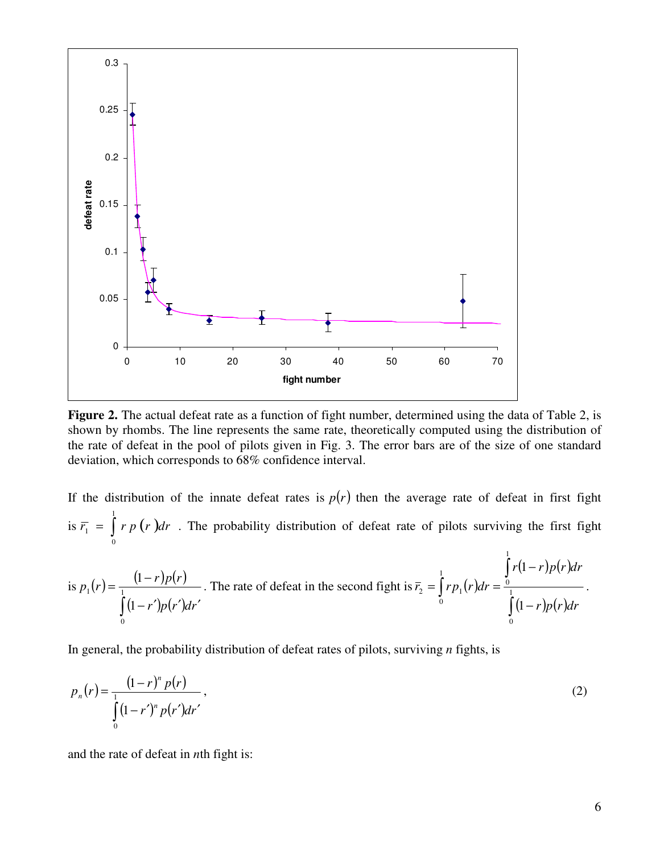

Figure 2. The actual defeat rate as a function of fight number, determined using the data of Table 2, is shown by rhombs. The line represents the same rate, theoretically computed using the distribution of the rate of defeat in the pool of pilots given in Fig. 3. The error bars are of the size of one standard deviation, which corresponds to 68% confidence interval.

If the distribution of the innate defeat rates is  $p(r)$  then the average rate of defeat in first fight is  $\overline{r_1} = \int r p(r) dr$ 1 0  $T_1 = | r p (r) dr$ . The probability distribution of defeat rate of pilots surviving the first fight 1

is 
$$
p_1(r) = \frac{(1-r)p(r)}{\int_0^1 (1-r')p(r')dr'}
$$
. The rate of defeat in the second fight is  $\bar{r}_2 = \int_0^1 r p_1(r)dr = \frac{\int_0^1 r(1-r)p(r)dr}{\int_0^1 (1-r)p(r)dr}$ .

In general, the probability distribution of defeat rates of pilots, surviving *n* fights, is

$$
p_n(r) = \frac{(1-r)^n p(r)}{\int_0^1 (1-r')^n p(r') dr'},
$$
\n(2)

and the rate of defeat in *n*th fight is: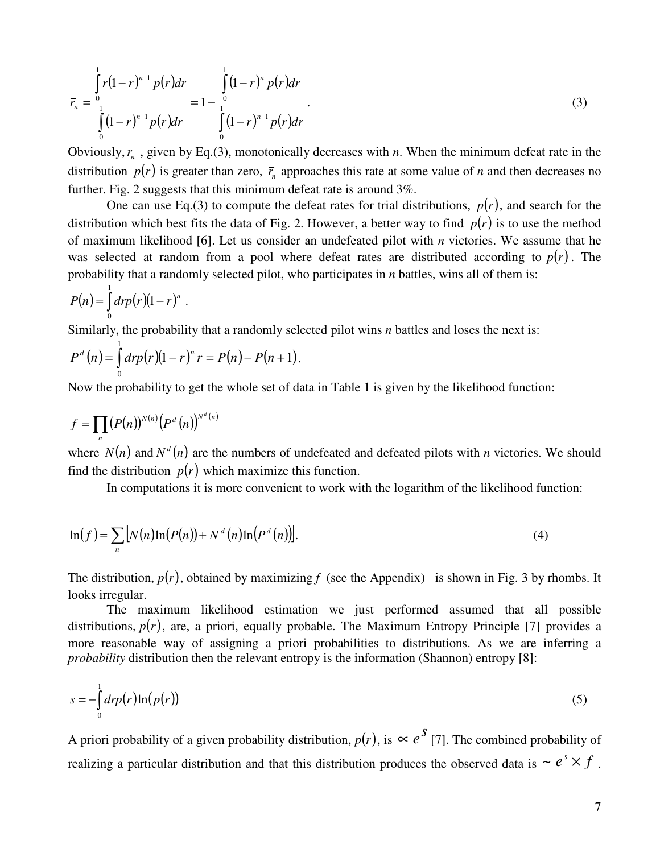$$
\overline{r}_n = \frac{\int_0^1 r(1-r)^{n-1} p(r) dr}{\int_0^1 (1-r)^{n-1} p(r) dr} = 1 - \frac{\int_0^1 (1-r)^n p(r) dr}{\int_0^1 (1-r)^{n-1} p(r) dr}.
$$
\n(3)

Obviously,  $\bar{r}_n$ , given by Eq.(3), monotonically decreases with *n*. When the minimum defeat rate in the distribution  $p(r)$  is greater than zero,  $\bar{r}_n$  approaches this rate at some value of *n* and then decreases no further. Fig. 2 suggests that this minimum defeat rate is around 3%.

One can use Eq.(3) to compute the defeat rates for trial distributions,  $p(r)$ , and search for the distribution which best fits the data of Fig. 2. However, a better way to find  $p(r)$  is to use the method of maximum likelihood [6]. Let us consider an undefeated pilot with *n* victories. We assume that he was selected at random from a pool where defeat rates are distributed according to  $p(r)$ . The probability that a randomly selected pilot, who participates in *n* battles, wins all of them is:

$$
P(n) = \int_0^1 dr p(r)(1-r)^n.
$$

Similarly, the probability that a randomly selected pilot wins *n* battles and loses the next is:

$$
P^{d}(n) = \int_{0}^{1} dr p(r)(1-r)^{n} r = P(n) - P(n+1).
$$

Now the probability to get the whole set of data in Table 1 is given by the likelihood function:

$$
f=\prod_n (P(n))^{N(n)}\big(P^d(n)\big)^{N^d(n)}
$$

where  $N(n)$  and  $N^d(n)$  are the numbers of undefeated and defeated pilots with *n* victories. We should find the distribution  $p(r)$  which maximize this function.

In computations it is more convenient to work with the logarithm of the likelihood function:

$$
\ln(f) = \sum_{n} \left[ N(n) \ln(P(n)) + N^d(n) \ln(P^d(n)) \right].
$$
 (4)

The distribution,  $p(r)$ , obtained by maximizing *f* (see the Appendix) is shown in Fig. 3 by rhombs. It looks irregular.

The maximum likelihood estimation we just performed assumed that all possible distributions,  $p(r)$ , are, a priori, equally probable. The Maximum Entropy Principle [7] provides a more reasonable way of assigning a priori probabilities to distributions. As we are inferring a *probability* distribution then the relevant entropy is the information (Shannon) entropy [8]:

$$
s = -\int_{0}^{1} dr p(r) \ln(p(r))
$$
\n(5)

A priori probability of a given probability distribution,  $p(r)$ , is  $\propto e^{S}$  [7]. The combined probability of realizing a particular distribution and that this distribution produces the observed data is  $\sim e^{s} \times f$ .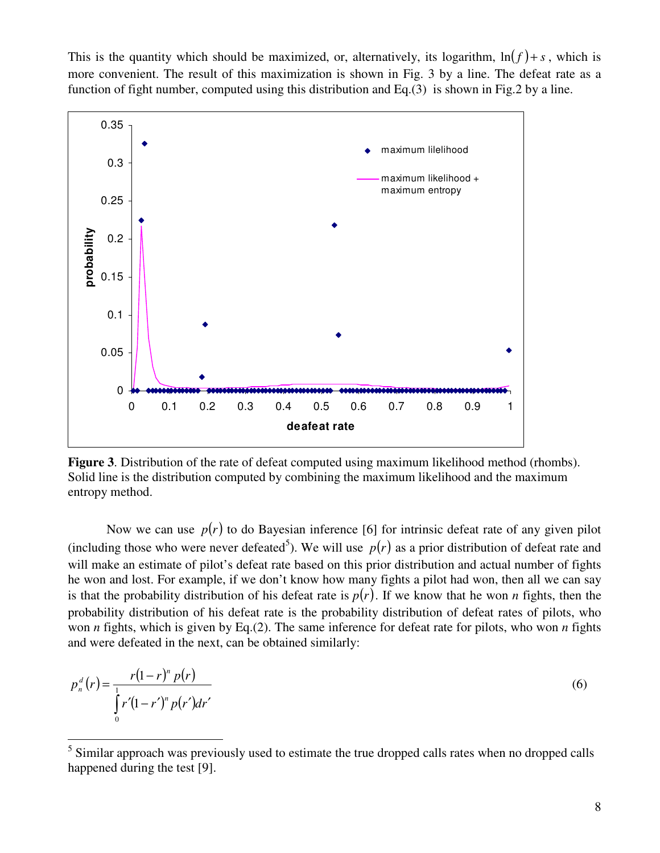This is the quantity which should be maximized, or, alternatively, its logarithm,  $\ln(f) + s$ , which is more convenient. The result of this maximization is shown in Fig. 3 by a line. The defeat rate as a function of fight number, computed using this distribution and Eq.(3) is shown in Fig.2 by a line.



**Figure 3**. Distribution of the rate of defeat computed using maximum likelihood method (rhombs). Solid line is the distribution computed by combining the maximum likelihood and the maximum entropy method.

Now we can use  $p(r)$  to do Bayesian inference [6] for intrinsic defeat rate of any given pilot (including those who were never defeated<sup>5</sup>). We will use  $p(r)$  as a prior distribution of defeat rate and will make an estimate of pilot's defeat rate based on this prior distribution and actual number of fights he won and lost. For example, if we don't know how many fights a pilot had won, then all we can say is that the probability distribution of his defeat rate is  $p(r)$ . If we know that he won *n* fights, then the probability distribution of his defeat rate is the probability distribution of defeat rates of pilots, who won *n* fights, which is given by Eq.(2). The same inference for defeat rate for pilots, who won *n* fights and were defeated in the next, can be obtained similarly:

$$
p_n^d(r) = \frac{r(1-r)^n p(r)}{\int_0^1 r'(1-r')^n p(r') dr'}
$$
\n(6)

 $\overline{a}$ 

<sup>5</sup> Similar approach was previously used to estimate the true dropped calls rates when no dropped calls happened during the test [9].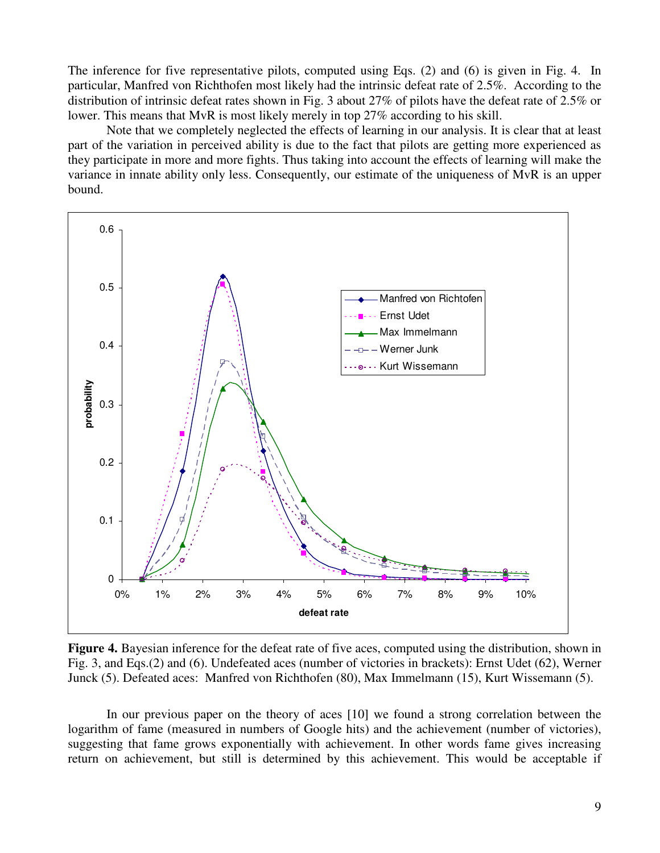The inference for five representative pilots, computed using Eqs. (2) and (6) is given in Fig. 4. In particular, Manfred von Richthofen most likely had the intrinsic defeat rate of 2.5%. According to the distribution of intrinsic defeat rates shown in Fig. 3 about 27% of pilots have the defeat rate of 2.5% or lower. This means that MvR is most likely merely in top 27% according to his skill.

 Note that we completely neglected the effects of learning in our analysis. It is clear that at least part of the variation in perceived ability is due to the fact that pilots are getting more experienced as they participate in more and more fights. Thus taking into account the effects of learning will make the variance in innate ability only less. Consequently, our estimate of the uniqueness of MvR is an upper bound.



**Figure 4.** Bayesian inference for the defeat rate of five aces, computed using the distribution, shown in Fig. 3, and Eqs.(2) and (6). Undefeated aces (number of victories in brackets): Ernst Udet (62), Werner Junck (5). Defeated aces: Manfred von Richthofen (80), Max Immelmann (15), Kurt Wissemann (5).

In our previous paper on the theory of aces [10] we found a strong correlation between the logarithm of fame (measured in numbers of Google hits) and the achievement (number of victories), suggesting that fame grows exponentially with achievement. In other words fame gives increasing return on achievement, but still is determined by this achievement. This would be acceptable if